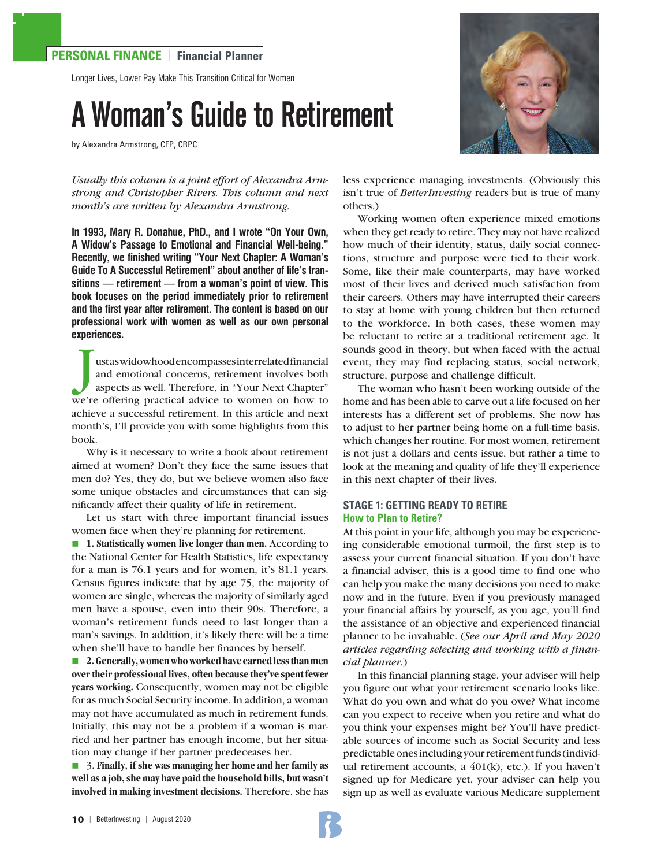### **PERSONAL FINANCE** | **Financial Planner**

Longer Lives, Lower Pay Make This Transition Critical for Women

# A Woman's Guide to Retirement

by Alexandra Armstrong, CFP, CRPC



*Usually this column is a joint effort of Alexandra Armstrong and Christopher Rivers. This column and next month's are written by Alexandra Armstrong.*

**In 1993, Mary R. Donahue, PhD., and I wrote "On Your Own, A Widow's Passage to Emotional and Financial Well-being." Recently, we finished writing "Your Next Chapter: A Woman's Guide To A Successful Retirement" about another of life's transitions — retirement — from a woman's point of view. This book focuses on the period immediately prior to retirement and the first year after retirement. The content is based on our professional work with women as well as our own personal experiences.** 

J ust as widowhood encompasses interrelated financial and emotional concerns, retirement involves both aspects as well. Therefore, in "Your Next Chapter" we're offering practical advice to women on how to achieve a successful retirement. In this article and next month's, I'll provide you with some highlights from this book.

Why is it necessary to write a book about retirement aimed at women? Don't they face the same issues that men do? Yes, they do, but we believe women also face some unique obstacles and circumstances that can significantly affect their quality of life in retirement.

Let us start with three important financial issues women face when they're planning for retirement.

■ 1. **Statistically women live longer than men.** According to the National Center for Health Statistics, life expectancy for a man is 76.1 years and for women, it's 81.1 years. Census figures indicate that by age 75, the majority of women are single, whereas the majority of similarly aged men have a spouse, even into their 90s. Therefore, a woman's retirement funds need to last longer than a man's savings. In addition, it's likely there will be a time when she'll have to handle her finances by herself.

■ **2. Generally, women who worked have earned less than men over their professional lives, often because they've spent fewer years working.** Consequently, women may not be eligible for as much Social Security income. In addition, a woman may not have accumulated as much in retirement funds. Initially, this may not be a problem if a woman is married and her partner has enough income, but her situation may change if her partner predeceases her.

■ 3. Finally, if she was managing her home and her family as **well as a job, she may have paid the household bills, but wasn't involved in making investment decisions.** Therefore, she has less experience managing investments. (Obviously this isn't true of *BetterInvesting* readers but is true of many others.)

Working women often experience mixed emotions when they get ready to retire. They may not have realized how much of their identity, status, daily social connections, structure and purpose were tied to their work. Some, like their male counterparts, may have worked most of their lives and derived much satisfaction from their careers. Others may have interrupted their careers to stay at home with young children but then returned to the workforce. In both cases, these women may be reluctant to retire at a traditional retirement age. It sounds good in theory, but when faced with the actual event, they may find replacing status, social network, structure, purpose and challenge difficult.

The woman who hasn't been working outside of the home and has been able to carve out a life focused on her interests has a different set of problems. She now has to adjust to her partner being home on a full-time basis, which changes her routine. For most women, retirement is not just a dollars and cents issue, but rather a time to look at the meaning and quality of life they'll experience in this next chapter of their lives.

#### **STAGE 1: GETTING READY TO RETIRE How to Plan to Retire?**

At this point in your life, although you may be experiencing considerable emotional turmoil, the first step is to assess your current financial situation. If you don't have a financial adviser, this is a good time to find one who can help you make the many decisions you need to make now and in the future. Even if you previously managed your financial affairs by yourself, as you age, you'll find the assistance of an objective and experienced financial planner to be invaluable. (*See our April and May 2020 articles regarding selecting and working with a financial planner.*)

In this financial planning stage, your adviser will help you figure out what your retirement scenario looks like. What do you own and what do you owe? What income can you expect to receive when you retire and what do you think your expenses might be? You'll have predictable sources of income such as Social Security and less predictable ones including your retirement funds (individual retirement accounts, a 401(k), etc.). If you haven't signed up for Medicare yet, your adviser can help you sign up as well as evaluate various Medicare supplement